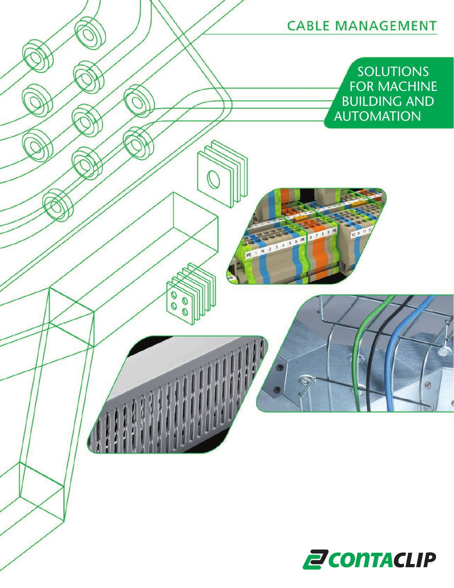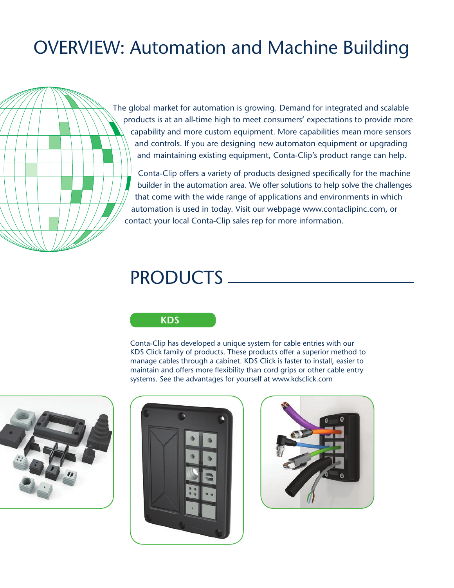## OVERVIEW: Automation and Machine Building

The global market for automation is growing. Demand for integrated and scalable products is at an all-time high to meet consumers' expectations to provide more capability and more custom equipment. More capabilities mean more sensors and controls. If you are designing new automaton equipment or upgrading and maintaining existing equipment, Conta-Clip's product range can help.

Conta-Clip offers a variety of products designed specifically for the machine builder in the automation area. We offer solutions to help solve the challenges that come with the wide range of applications and environments in which automation is used in today. Visit our webpage www.contaclipinc.com, or contact your local Conta-Clip sales rep for more information.

### PRODUCTS

#### **KDS**

Conta-Clip has developed a unique system for cable entries with our KDS Click family of products. These products offer a superior method to manage cables through a cabinet. KDS Click is faster to install, easier to maintain and offers more flexibility than cord grips or other cable entry systems. See the advantages for yourself at www.kdsclick.com





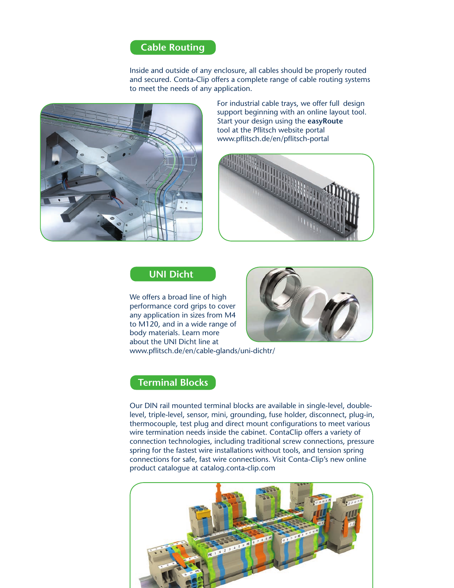#### **Cable Routing**

Inside and outside of any enclosure, all cables should be properly routed and secured. Conta-Clip offers a complete range of cable routing systems to meet the needs of any application.



For industrial cable trays, we offer full design support beginning with an online layout tool. Start your design using the **easyRoute** tool at the Pflitsch website portal www.pflitsch.de/en/pflitsch-portal



#### **UNI Dicht**

We offers a broad line of high performance cord grips to cover any application in sizes from M4 to M120, and in a wide range of body materials. Learn more about the UNI Dicht line at www.pflitsch.de/en/cable-glands/uni-dichtr/



#### **Terminal Blocks**

Our DIN rail mounted terminal blocks are available in single-level, doublelevel, triple-level, sensor, mini, grounding, fuse holder, disconnect, plug-in, thermocouple, test plug and direct mount configurations to meet various wire termination needs inside the cabinet. ContaClip offers a variety of connection technologies, including traditional screw connections, pressure spring for the fastest wire installations without tools, and tension spring connections for safe, fast wire connections. Visit Conta-Clip's new online product catalogue at catalog.conta-clip.com